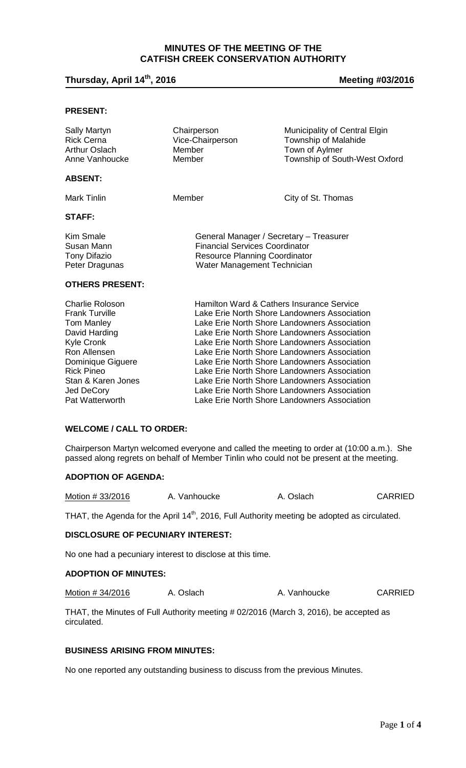# **MINUTES OF THE MEETING OF THE CATFISH CREEK CONSERVATION AUTHORITY**

# **Thursday, April 14th, 2016 Meeting #03/2016**

#### **PRESENT:**

| <b>Sally Martyn</b><br><b>Rick Cerna</b><br>Arthur Oslach<br>Anne Vanhoucke                                         | Chairperson<br>Vice-Chairperson<br>Member<br>Member                                                                                                                                                                                                                                       | Municipality of Central Elgin<br>Township of Malahide<br>Town of Aylmer<br>Township of South-West Oxford |  |
|---------------------------------------------------------------------------------------------------------------------|-------------------------------------------------------------------------------------------------------------------------------------------------------------------------------------------------------------------------------------------------------------------------------------------|----------------------------------------------------------------------------------------------------------|--|
| <b>ABSENT:</b>                                                                                                      |                                                                                                                                                                                                                                                                                           |                                                                                                          |  |
| <b>Mark Tinlin</b>                                                                                                  | Member                                                                                                                                                                                                                                                                                    | City of St. Thomas                                                                                       |  |
| <b>STAFF:</b>                                                                                                       |                                                                                                                                                                                                                                                                                           |                                                                                                          |  |
| Kim Smale<br>Susan Mann<br><b>Tony Difazio</b><br>Peter Dragunas                                                    | General Manager / Secretary - Treasurer<br><b>Financial Services Coordinator</b><br><b>Resource Planning Coordinator</b><br>Water Management Technician                                                                                                                                   |                                                                                                          |  |
| <b>OTHERS PRESENT:</b>                                                                                              |                                                                                                                                                                                                                                                                                           |                                                                                                          |  |
| <b>Charlie Roloson</b><br><b>Frank Turville</b><br><b>Tom Manley</b><br>David Harding<br>Kyle Cronk<br>Ron Allensen | Hamilton Ward & Cathers Insurance Service<br>Lake Erie North Shore Landowners Association<br>Lake Erie North Shore Landowners Association<br>Lake Erie North Shore Landowners Association<br>Lake Erie North Shore Landowners Association<br>Lake Erie North Shore Landowners Association |                                                                                                          |  |

**WELCOME / CALL TO ORDER:**

Chairperson Martyn welcomed everyone and called the meeting to order at (10:00 a.m.). She passed along regrets on behalf of Member Tinlin who could not be present at the meeting.

Lake Erie North Shore Landowners Association

Dominique Giguere Lake Erie North Shore Landowners Association Rick Pineo Lake Erie North Shore Landowners Association Stan & Karen Jones<br>Lake Erie North Shore Landowners Association<br>Lake Erie North Shore Landowners Association Jed DeCory **Lake Erie North Shore Landowners Association**<br>Pat Watterworth **Cake Erie North Shore Landowners Association** 

#### **ADOPTION OF AGENDA:**

Motion # 33/2016 A. Vanhoucke A. Oslach CARRIED

THAT, the Agenda for the April  $14<sup>th</sup>$ , 2016, Full Authority meeting be adopted as circulated.

# **DISCLOSURE OF PECUNIARY INTEREST:**

No one had a pecuniary interest to disclose at this time.

#### **ADOPTION OF MINUTES:**

Motion # 34/2016 A. Oslach A. Vanhoucke CARRIED

THAT, the Minutes of Full Authority meeting # 02/2016 (March 3, 2016), be accepted as circulated.

#### **BUSINESS ARISING FROM MINUTES:**

No one reported any outstanding business to discuss from the previous Minutes.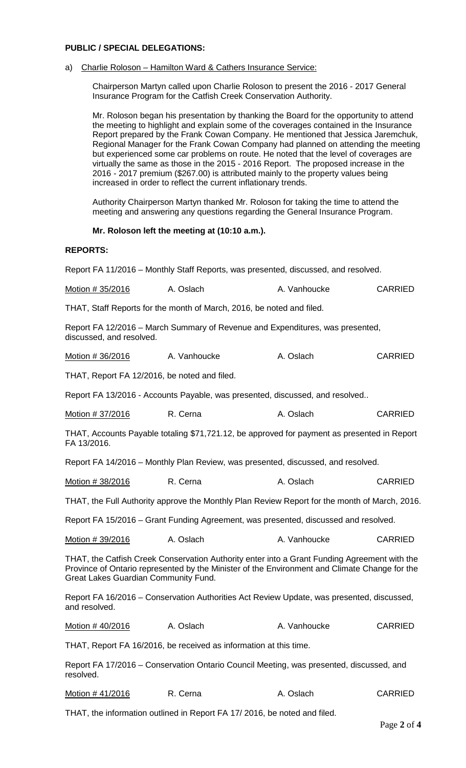# **PUBLIC / SPECIAL DELEGATIONS:**

#### a) Charlie Roloson – Hamilton Ward & Cathers Insurance Service:

Chairperson Martyn called upon Charlie Roloson to present the 2016 - 2017 General Insurance Program for the Catfish Creek Conservation Authority.

Mr. Roloson began his presentation by thanking the Board for the opportunity to attend the meeting to highlight and explain some of the coverages contained in the Insurance Report prepared by the Frank Cowan Company. He mentioned that Jessica Jaremchuk, Regional Manager for the Frank Cowan Company had planned on attending the meeting but experienced some car problems on route. He noted that the level of coverages are virtually the same as those in the 2015 - 2016 Report. The proposed increase in the 2016 - 2017 premium (\$267.00) is attributed mainly to the property values being increased in order to reflect the current inflationary trends.

Authority Chairperson Martyn thanked Mr. Roloson for taking the time to attend the meeting and answering any questions regarding the General Insurance Program.

### **Mr. Roloson left the meeting at (10:10 a.m.).**

#### **REPORTS:**

Report FA 11/2016 – Monthly Staff Reports, was presented, discussed, and resolved.

| Motion # 35/2016 | A. Oslach | A. Vanhoucke | <b>CARRIED</b> |
|------------------|-----------|--------------|----------------|
|------------------|-----------|--------------|----------------|

THAT, Staff Reports for the month of March, 2016, be noted and filed.

Report FA 12/2016 – March Summary of Revenue and Expenditures, was presented, discussed, and resolved.

| <b>CARRIED</b><br>Motion # 36/2016<br>A. Oslach<br>A. Vanhoucke |
|-----------------------------------------------------------------|
|-----------------------------------------------------------------|

THAT, Report FA 12/2016, be noted and filed.

Report FA 13/2016 - Accounts Payable, was presented, discussed, and resolved..

| Motion # 37/2016 | R. Cerna | A. Oslach | <b>CARRIED</b> |
|------------------|----------|-----------|----------------|
|------------------|----------|-----------|----------------|

THAT, Accounts Payable totaling \$71,721.12, be approved for payment as presented in Report FA 13/2016.

Report FA 14/2016 – Monthly Plan Review, was presented, discussed, and resolved.

| Motion # 38/2016 | R. Cerna | A. Oslach | <b>CARRIED</b> |
|------------------|----------|-----------|----------------|
|------------------|----------|-----------|----------------|

THAT, the Full Authority approve the Monthly Plan Review Report for the month of March, 2016.

Report FA 15/2016 – Grant Funding Agreement, was presented, discussed and resolved.

| Motion # 39/2016<br>A. Oslach | A. Vanhoucke | <b>CARRIED</b> |
|-------------------------------|--------------|----------------|
|-------------------------------|--------------|----------------|

THAT, the Catfish Creek Conservation Authority enter into a Grant Funding Agreement with the Province of Ontario represented by the Minister of the Environment and Climate Change for the Great Lakes Guardian Community Fund.

Report FA 16/2016 – Conservation Authorities Act Review Update, was presented, discussed, and resolved.

Motion # 40/2016 A. Oslach A. Vanhoucke CARRIED

THAT, Report FA 16/2016, be received as information at this time.

Report FA 17/2016 – Conservation Ontario Council Meeting, was presented, discussed, and resolved.

| Motion #41/2016 | R. Cerna | A. Oslach | <b>CARRIED</b> |
|-----------------|----------|-----------|----------------|
|-----------------|----------|-----------|----------------|

THAT, the information outlined in Report FA 17/ 2016, be noted and filed.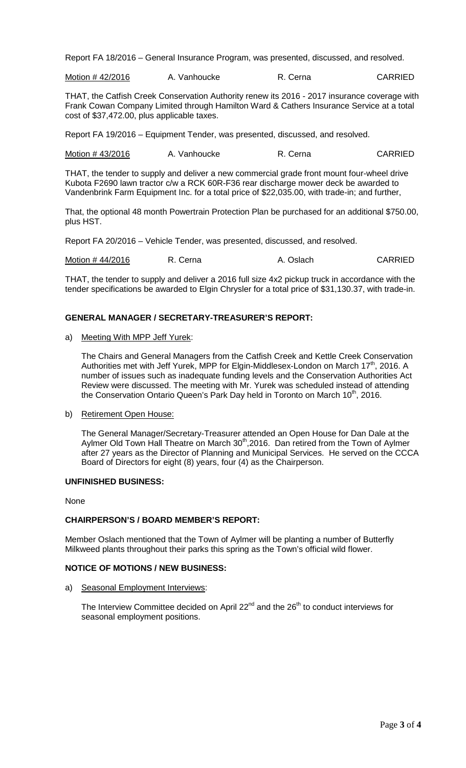Report FA 18/2016 – General Insurance Program, was presented, discussed, and resolved.

Motion # 42/2016 A. Vanhoucke R. Cerna CARRIED

THAT, the Catfish Creek Conservation Authority renew its 2016 - 2017 insurance coverage with Frank Cowan Company Limited through Hamilton Ward & Cathers Insurance Service at a total cost of \$37,472.00, plus applicable taxes.

Report FA 19/2016 – Equipment Tender, was presented, discussed, and resolved.

Motion # 43/2016 A. Vanhoucke R. Cerna CARRIED

THAT, the tender to supply and deliver a new commercial grade front mount four-wheel drive Kubota F2690 lawn tractor c/w a RCK 60R-F36 rear discharge mower deck be awarded to Vandenbrink Farm Equipment Inc. for a total price of \$22,035.00, with trade-in; and further,

That, the optional 48 month Powertrain Protection Plan be purchased for an additional \$750.00, plus HST.

Report FA 20/2016 – Vehicle Tender, was presented, discussed, and resolved.

Motion # 44/2016 R. Cerna A. Oslach CARRIED

THAT, the tender to supply and deliver a 2016 full size 4x2 pickup truck in accordance with the tender specifications be awarded to Elgin Chrysler for a total price of \$31,130.37, with trade-in.

## **GENERAL MANAGER / SECRETARY-TREASURER'S REPORT:**

#### a) Meeting With MPP Jeff Yurek:

The Chairs and General Managers from the Catfish Creek and Kettle Creek Conservation Authorities met with Jeff Yurek, MPP for Elgin-Middlesex-London on March 17<sup>th</sup>, 2016. A number of issues such as inadequate funding levels and the Conservation Authorities Act Review were discussed. The meeting with Mr. Yurek was scheduled instead of attending the Conservation Ontario Queen's Park Day held in Toronto on March 10<sup>th</sup>, 2016.

b) Retirement Open House:

The General Manager/Secretary-Treasurer attended an Open House for Dan Dale at the Aylmer Old Town Hall Theatre on March 30<sup>th</sup>,2016. Dan retired from the Town of Aylmer after 27 years as the Director of Planning and Municipal Services. He served on the CCCA Board of Directors for eight (8) years, four (4) as the Chairperson.

## **UNFINISHED BUSINESS:**

None

#### **CHAIRPERSON'S / BOARD MEMBER'S REPORT:**

Member Oslach mentioned that the Town of Aylmer will be planting a number of Butterfly Milkweed plants throughout their parks this spring as the Town's official wild flower.

#### **NOTICE OF MOTIONS / NEW BUSINESS:**

a) Seasonal Employment Interviews:

The Interview Committee decided on April  $22^{nd}$  and the  $26^{th}$  to conduct interviews for seasonal employment positions.